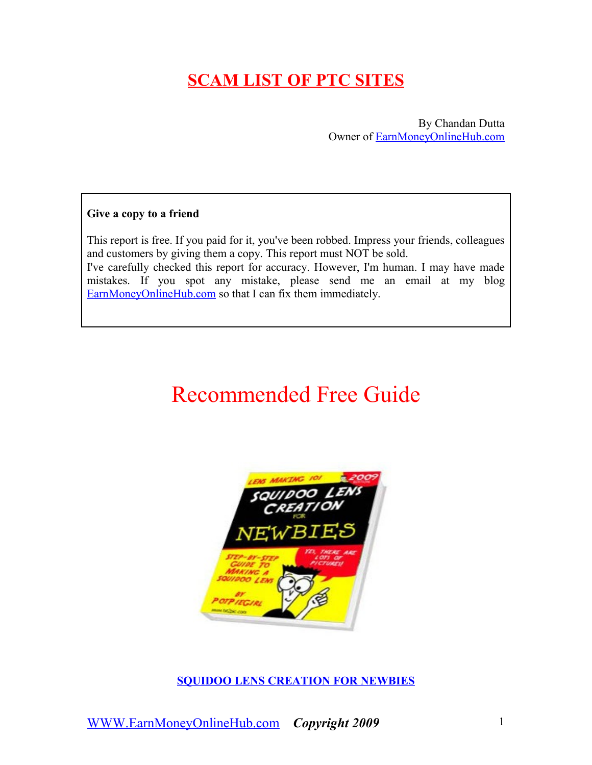# **SCAM LIST OF PTC SITES**

By Chandan Dutta Owner of [EarnMoneyOnlineHub.com](http://earnmoneyonlinehub.com/)

### **Give a copy to a friend**

This report is free. If you paid for it, you've been robbed. Impress your friends, colleagues and customers by giving them a copy. This report must NOT be sold. I've carefully checked this report for accuracy. However, I'm human. I may have made mistakes. If you spot any mistake, please send me an email at my blog [EarnMoneyOnlineHub.com](http://earnmoneyonlinehub.com/about) so that I can fix them immediately.

# Recommended Free Guide



**[SQUIDOO LENS CREATION FOR NEWBIES](http://earnmoneyonlinehub.com/free-ways-to-earn-money-online/writing-for-money)**

[WWW.EarnMoneyOnlineHub.com](http://WWW.EarnMoneyOnlineHub.com/) *Copyright 2009* 1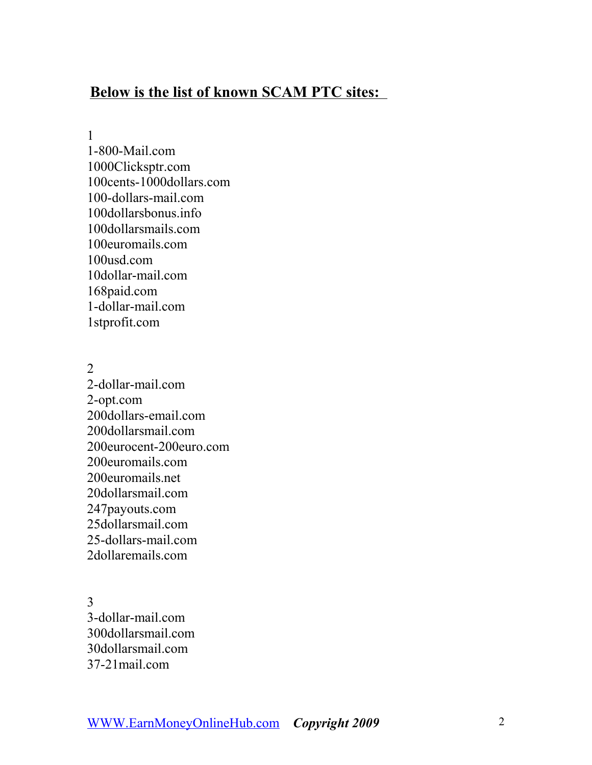## **Below is the list of known SCAM PTC sites:**

1

1-800-Mail.com 1000Clicksptr.com 100cents-1000dollars.com 100-dollars-mail.com 100dollarsbonus.info 100dollarsmails.com 100euromails.com 100usd.com 10dollar-mail.com 168paid.com 1-dollar-mail.com 1stprofit.com

2 2-dollar-mail.com 2-opt.com 200dollars-email.com 200dollarsmail.com 200eurocent-200euro.com 200euromails.com 200euromails.net 20dollarsmail.com 247payouts.com 25dollarsmail.com 25-dollars-mail.com 2dollaremails.com

3 3-dollar-mail.com 300dollarsmail.com 30dollarsmail.com 37-21mail.com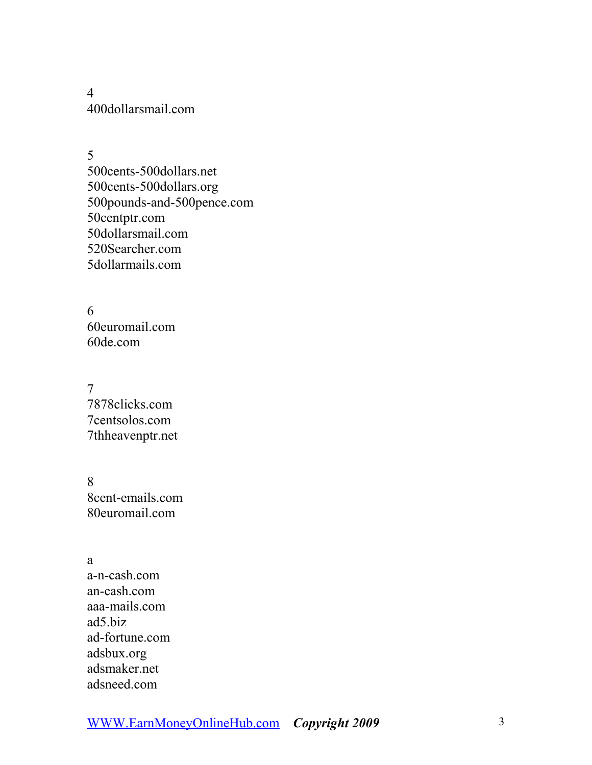4 400dollarsmail.com

5 500cents-500dollars.net 500cents-500dollars.org 500pounds-and-500pence.com 50centptr.com 50dollarsmail.com 520Searcher.com 5dollarmails.com

6 60euromail.com 60de.com

7 7878clicks.com 7centsolos.com 7thheavenptr.net

8 8cent-emails.com 80euromail.com

a a-n-cash.com an-cash.com aaa-mails.com ad5.biz ad-fortune.com adsbux.org adsmaker.net adsneed.com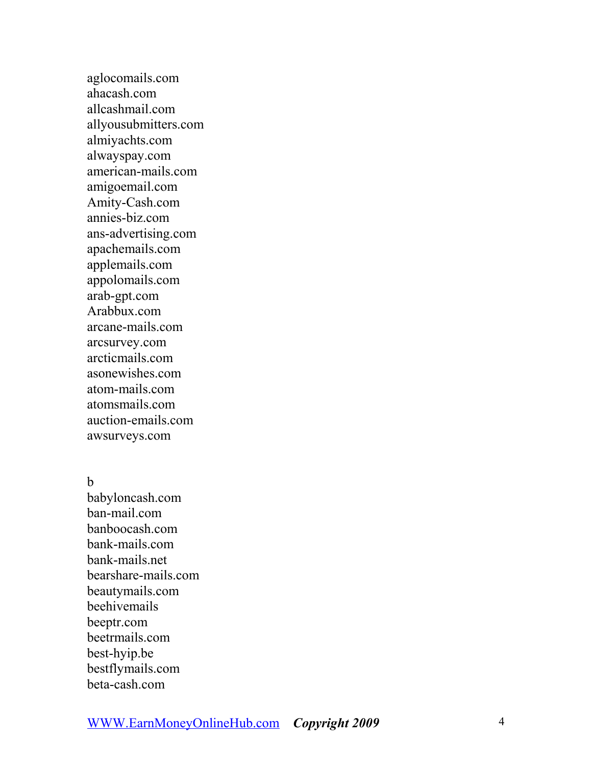aglocomails.com ahacash.com allcashmail.com allyousubmitters.com almiyachts.com alwayspay.com american-mails.com amigoemail.com Amity-Cash.com annies-biz.com ans-advertising.com apachemails.com applemails.com appolomails.com arab-gpt.com Arabbux.com arcane-mails.com arcsurvey.com arcticmails.com asonewishes.com atom-mails.com atomsmails.com auction-emails.com awsurveys.com

b

babyloncash.com ban-mail.com banboocash.com bank-mails.com bank-mails.net bearshare-mails.com beautymails.com beehivemails beeptr.com beetrmails.com best-hyip.be bestflymails.com beta-cash.com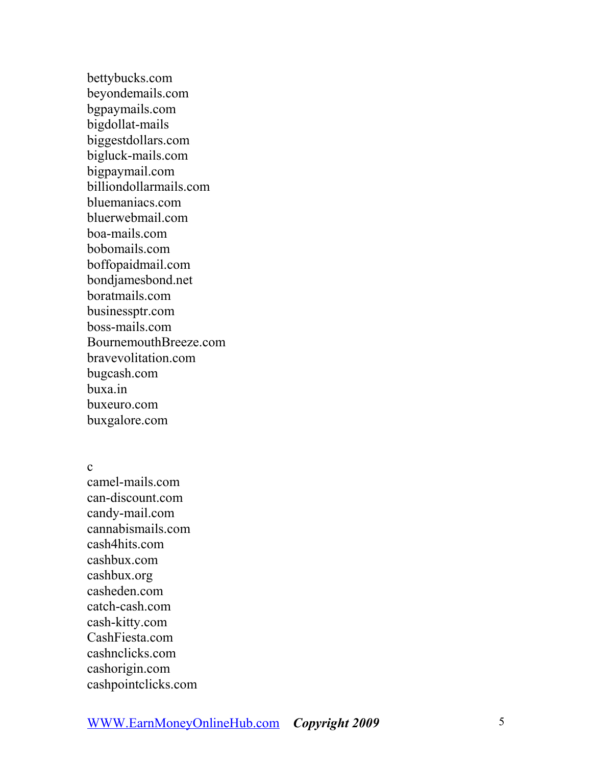bettybucks.com beyondemails.com bgpaymails.com bigdollat-mails biggestdollars.com bigluck-mails.com bigpaymail.com billiondollarmails.com bluemaniacs.com bluerwebmail.com boa-mails.com bobomails.com boffopaidmail.com bondjamesbond.net boratmails.com businessptr.com boss-mails.com BournemouthBreeze.com bravevolitation.com bugcash.com buxa.in buxeuro.com buxgalore.com

c

camel-mails.com can-discount.com candy-mail.com cannabismails.com cash4hits.com cashbux.com cashbux.org casheden.com catch-cash.com cash-kitty.com CashFiesta.com cashnclicks.com cashorigin.com cashpointclicks.com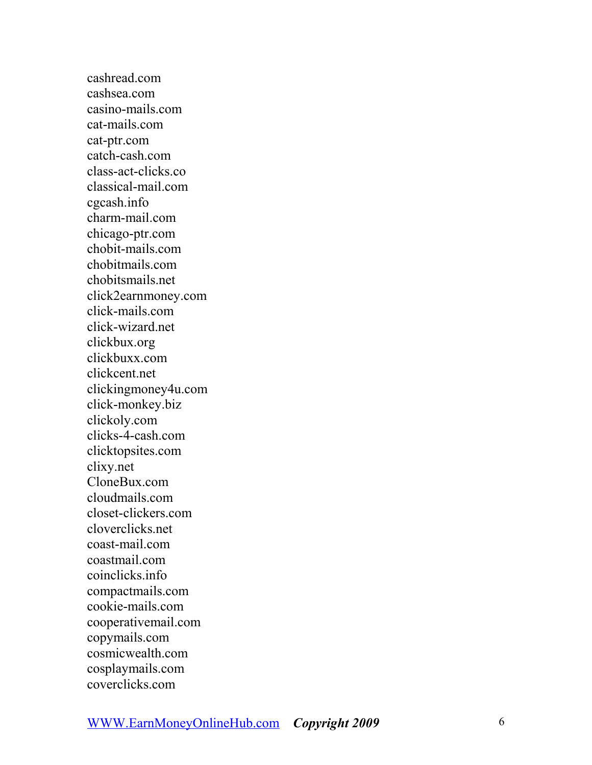cashread.com cashsea.com casino-mails.com cat-mails.com cat-ptr.com catch-cash.com class-act-clicks.co classical-mail.com cgcash.info charm-mail.com chicago-ptr.com chobit-mails.com chobitmails.com chobitsmails.net click2earnmoney.com click-mails.com click-wizard.net clickbux.org clickbuxx.com clickcent.net clickingmoney4u.com click-monkey.biz clickoly.com clicks-4-cash.com clicktopsites.com clixy.net CloneBux.com cloudmails.com closet-clickers.com cloverclicks.net coast-mail.com coastmail.com coinclicks.info compactmails.com cookie-mails.com cooperativemail.com copymails.com cosmicwealth.com cosplaymails.com coverclicks.com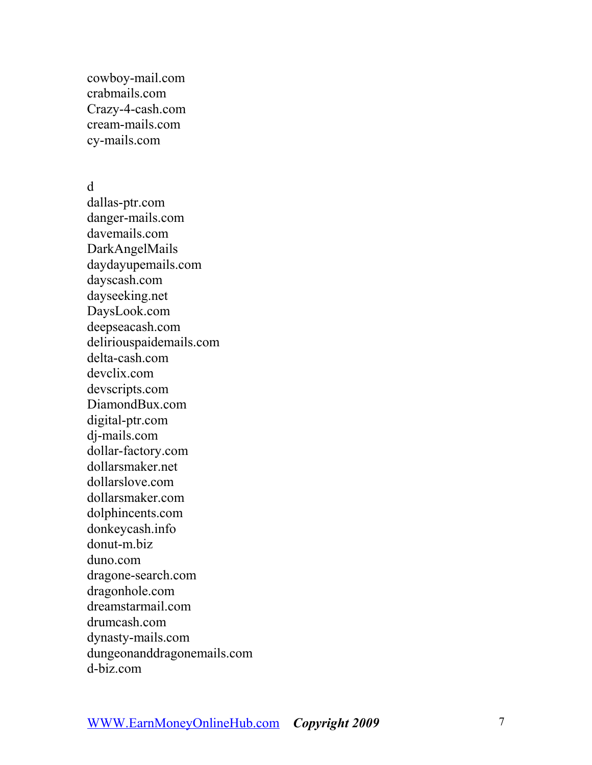cowboy-mail.com crabmails.com Crazy-4-cash.com cream-mails.com cy-mails.com

### d

dallas-ptr.com danger-mails.com davemails.com DarkAngelMails daydayupemails.com dayscash.com dayseeking.net DaysLook.com deepseacash.com deliriouspaidemails.com delta-cash.com devclix.com devscripts.com DiamondBux.com digital-ptr.com dj-mails.com dollar-factory.com dollarsmaker.net dollarslove.com dollarsmaker.com dolphincents.com donkeycash.info donut-m.biz duno.com dragone-search.com dragonhole.com dreamstarmail.com drumcash.com dynasty-mails.com dungeonanddragonemails.com d-biz.com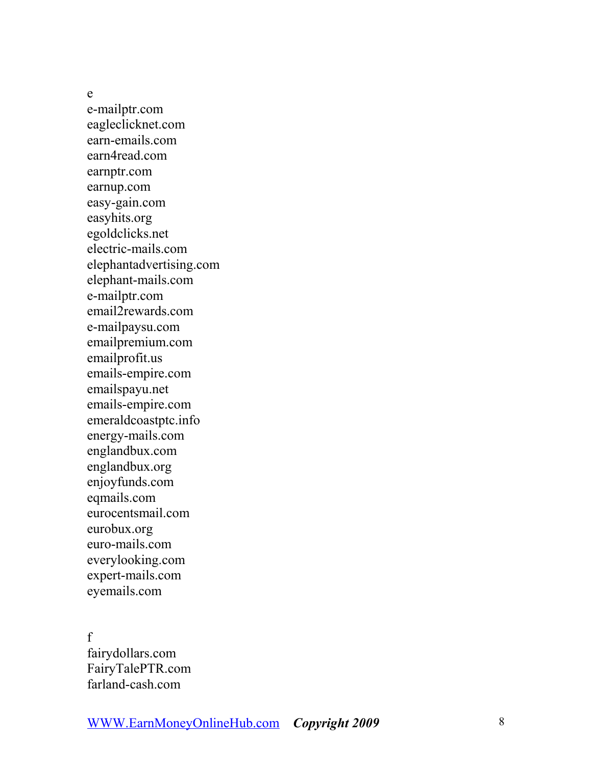e

e-mailptr.com eagleclicknet.com earn-emails.com earn4read.com earnptr.com earnup.com easy-gain.com easyhits.org egoldclicks.net electric-mails.com elephantadvertising.com elephant-mails.com e-mailptr.com email2rewards.com e-mailpaysu.com emailpremium.com emailprofit.us emails-empire.com emailspayu.net emails-empire.com emeraldcoastptc.info energy-mails.com englandbux.com englandbux.org enjoyfunds.com eqmails.com eurocentsmail.com eurobux.org euro-mails.com everylooking.com expert-mails.com eyemails.com f

fairydollars.com FairyTalePTR.com farland-cash.com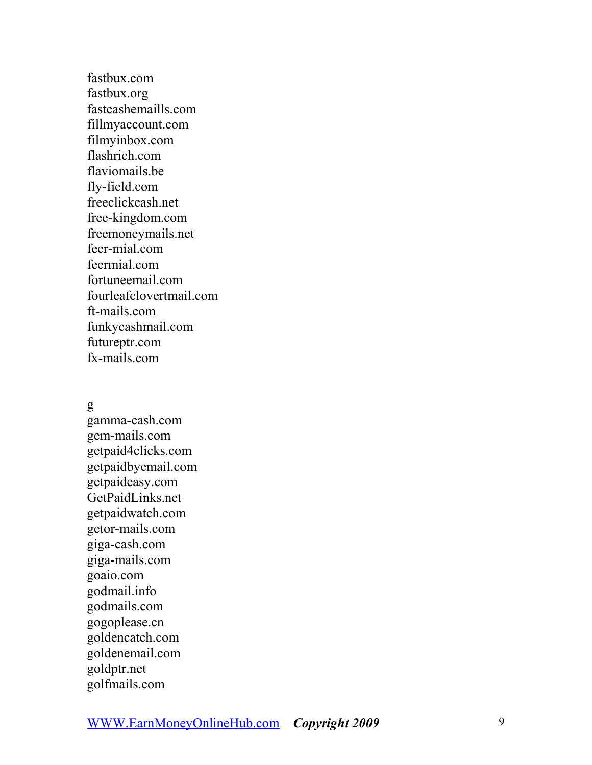fastbux.com fastbux.org fastcashemaills.com fillmyaccount.com filmyinbox.com flashrich.com flaviomails be fly-field.com freeclickcash.net free-kingdom.com freemoneymails.net feer-mial.com feermial.com fortuneemail.com fourleafclovertmail.com ft-mails.com funkycashmail.com futureptr.com fx-mails.com g

gamma-cash.com gem-mails.com getpaid4clicks.com getpaidbyemail.com getpaideasy.com GetPaidLinks.net getpaidwatch.com getor-mails.com giga-cash.com giga-mails.com goaio.com godmail.info godmails.com gogoplease.cn goldencatch.com goldenemail.com goldptr.net golfmails.com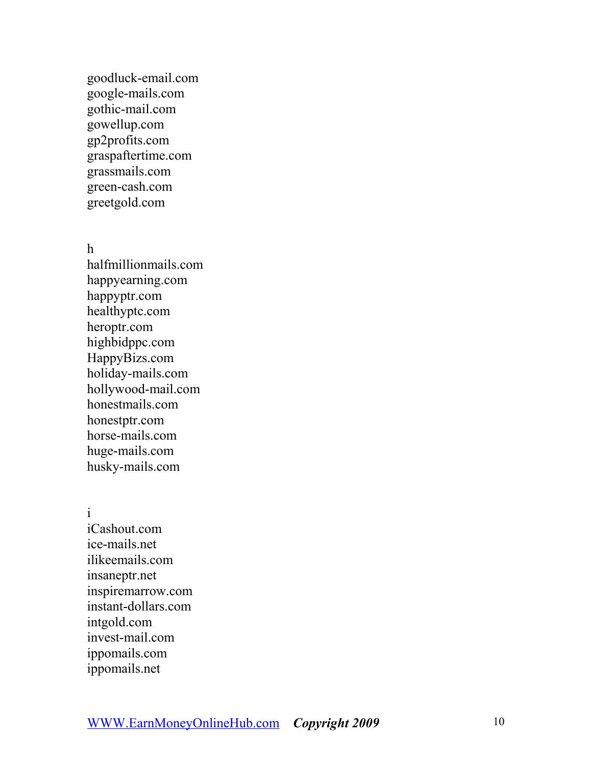goodluck-email.com google-mails.com gothic-mail.com gowellup.com gp2profits.com graspaftertime.com grassmails.com green-cash.com greetgold.com

h

halfmillionmails.com happyearning.com happyptr.com healthyptc.com heroptr.com highbidppc.com HappyBizs.com holiday-mails.com hollywood-mail.com honestmails.com honestptr.com horse-mails.com huge-mails.com husky-mails.com

i

iCashout.com ice-mails.net ilikeemails.com insaneptr.net inspiremarrow.com instant-dollars.com intgold.com invest-mail.com ippomails.com ippomails.net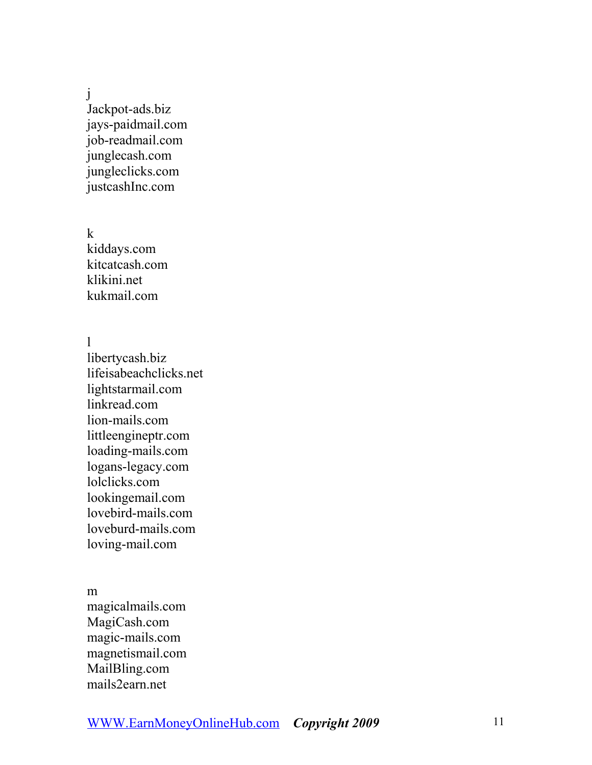j

Jackpot-ads.biz jays-paidmail.com job-readmail.com junglecash.com jungleclicks.com justcashInc.com

k

kiddays.com kitcatcash.com klikini.net kukmail.com

l

libertycash.biz lifeisabeachclicks.net lightstarmail.com linkread.com lion-mails.com littleengineptr.com loading-mails.com logans-legacy.com lolclicks.com lookingemail.com lovebird-mails.com loveburd-mails.com loving-mail.com

m

magicalmails.com MagiCash.com magic-mails.com magnetismail.com MailBling.com mails2earn.net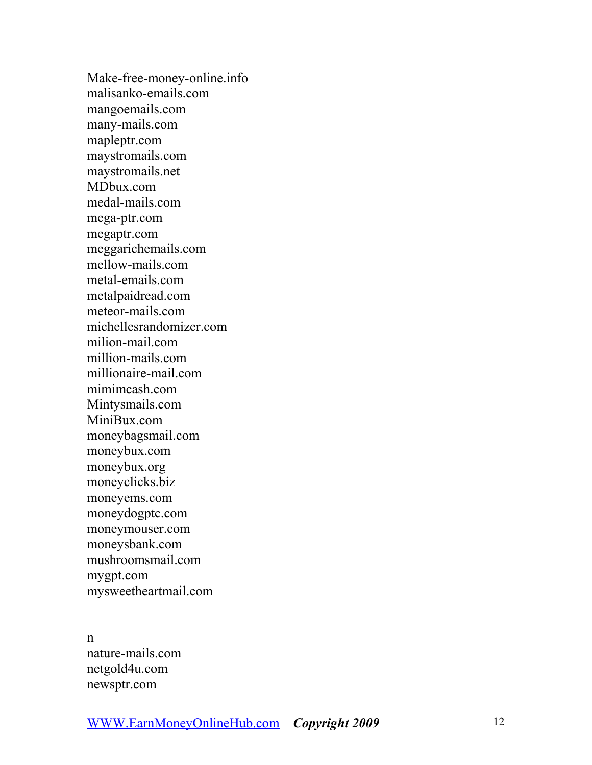Make-free-money-online.info malisanko-emails.com mangoemails.com many-mails.com mapleptr.com maystromails.com maystromails.net MDbux.com medal-mails.com mega-ptr.com megaptr.com meggarichemails.com mellow-mails.com metal-emails.com metalpaidread.com meteor-mails.com michellesrandomizer.com milion-mail.com million-mails.com millionaire-mail.com mimimcash.com Mintysmails.com MiniBux.com moneybagsmail.com moneybux.com moneybux.org moneyclicks.biz moneyems.com moneydogptc.com moneymouser.com moneysbank.com mushroomsmail.com mygpt.com mysweetheartmail.com

n

nature-mails.com netgold4u.com newsptr.com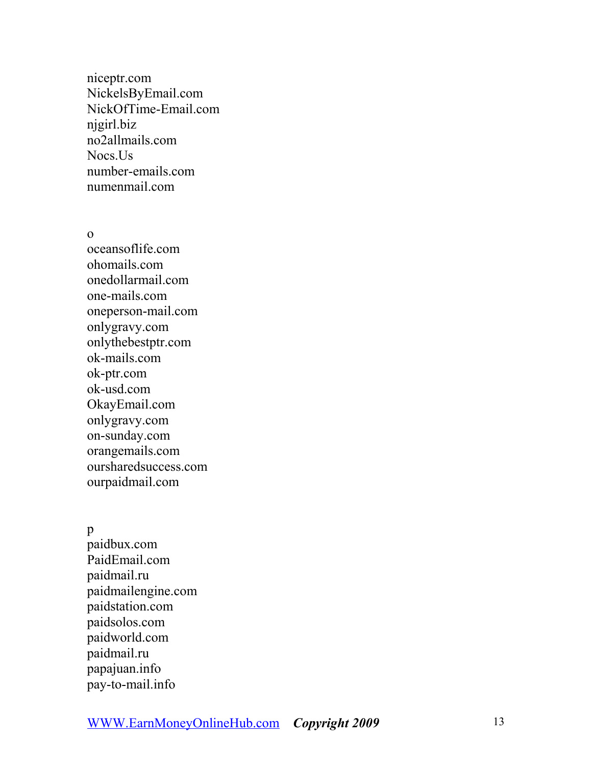niceptr.com NickelsByEmail.com NickOfTime-Email.com njgirl.biz no2allmails.com Nocs.Us number-emails.com numenmail.com

o

oceansoflife.com ohomails.com onedollarmail.com one-mails.com oneperson-mail.com onlygravy.com onlythebestptr.com ok-mails.com ok-ptr.com ok-usd.com OkayEmail.com onlygravy.com on-sunday.com orangemails.com oursharedsuccess.com ourpaidmail.com

p

paidbux.com PaidEmail.com paidmail.ru paidmailengine.com paidstation.com paidsolos.com paidworld.com paidmail.ru papajuan.info pay-to-mail.info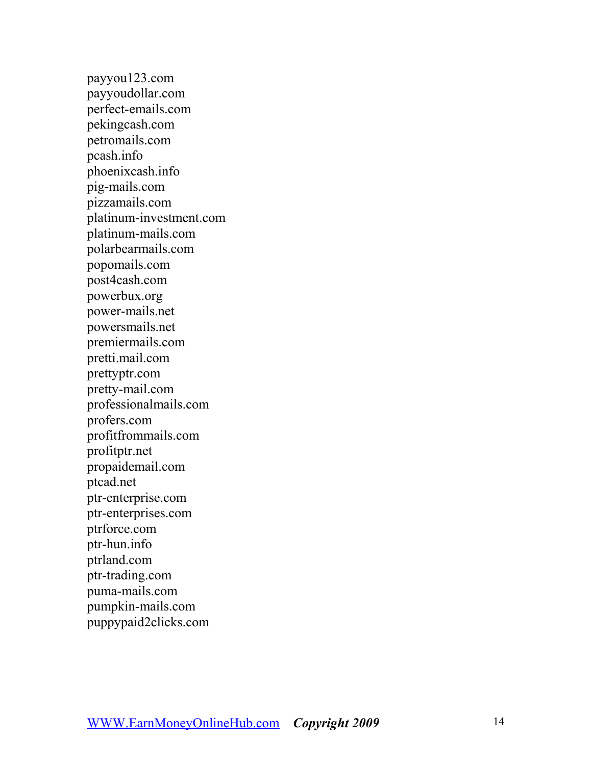payyou123.com payyoudollar.com perfect-emails.com pekingcash.com petromails.com pcash.info phoenixcash.info pig-mails.com pizzamails.com platinum-investment.com platinum-mails.com polarbearmails.com popomails.com post4cash.com powerbux.org power-mails.net powersmails.net premiermails.com pretti.mail.com prettyptr.com pretty-mail.com professionalmails.com profers.com profitfrommails.com profitptr.net propaidemail.com ptcad.net ptr-enterprise.com ptr-enterprises.com ptrforce.com ptr-hun.info ptrland.com ptr-trading.com puma-mails.com pumpkin-mails.com puppypaid2clicks.com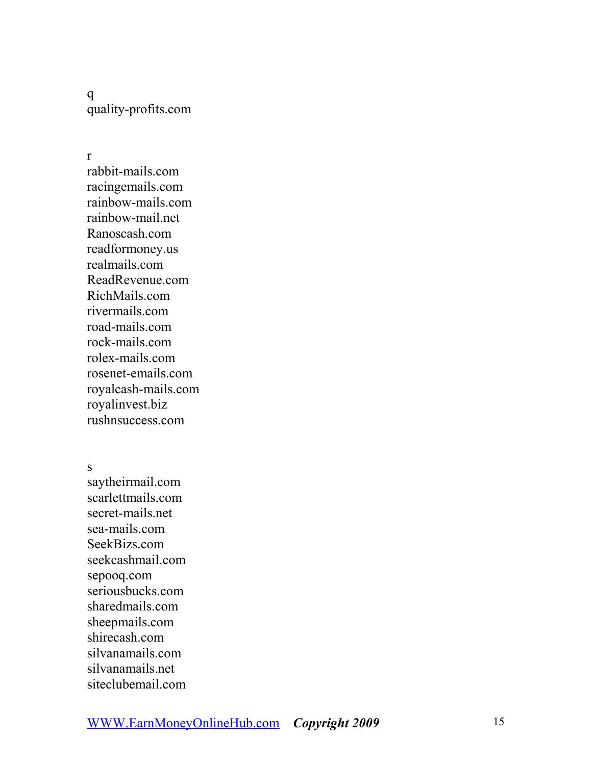q quality-profits.com

r

rabbit-mails.com racingemails.com rainbow-mails.com rainbow-mail.net Ranoscash.com readformoney.us realmails.com ReadRevenue.com RichMails.com rivermails.com road-mails.com rock-mails.com rolex-mails.com rosenet-emails.com royalcash-mails.com royalinvest.biz rushnsuccess.com

s

saytheirmail.com scarlettmails.com secret-mails.net sea-mails.com SeekBizs.com seekcashmail.com sepooq.com seriousbucks.com sharedmails.com sheepmails.com shirecash.com silvanamails.com silvanamails.net siteclubemail.com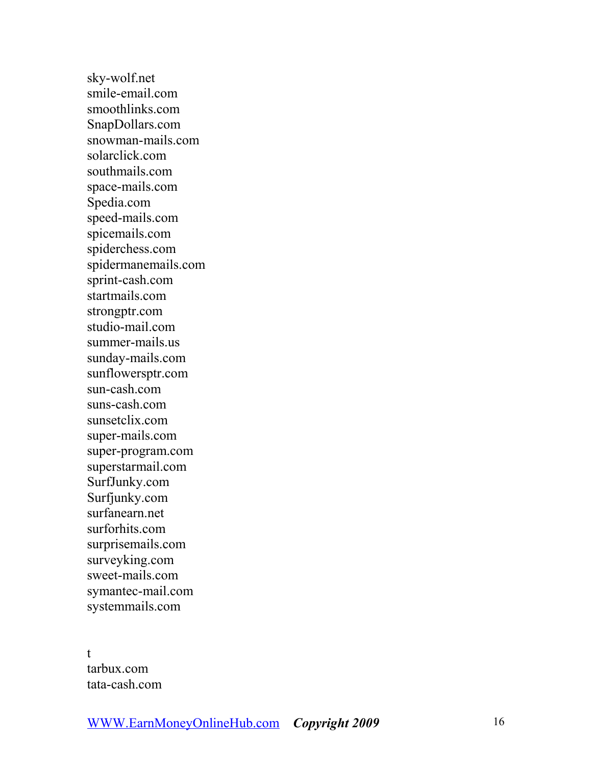sky-wolf.net smile-email.com smoothlinks.com SnapDollars.com snowman-mails.com solarclick.com southmails.com space-mails.com Spedia.com speed-mails.com spicemails.com spiderchess.com spidermanemails.com sprint-cash.com startmails.com strongptr.com studio-mail.com summer-mails.us sunday-mails.com sunflowersptr.com sun-cash.com suns-cash.com sunsetclix.com super-mails.com super-program.com superstarmail.com SurfJunky.com Surfjunky.com surfanearn.net surforhits.com surprisemails.com surveyking.com sweet-mails.com symantec-mail.com systemmails.com

t tarbux.com tata-cash.com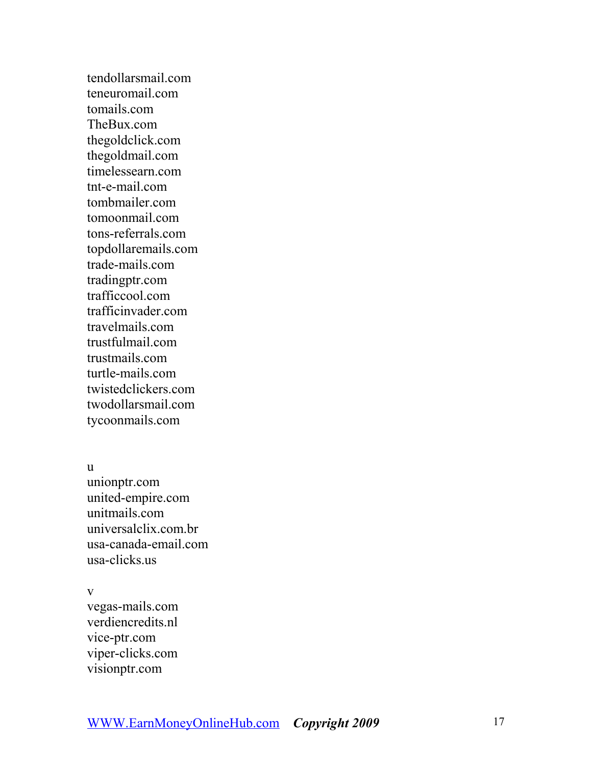tendollarsmail.com teneuromail.com tomails.com TheBux.com thegoldclick.com thegoldmail.com timelessearn.com tnt-e-mail.com tombmailer.com tomoonmail.com tons-referrals.com topdollaremails.com trade-mails.com tradingptr.com trafficcool.com trafficinvader.com travelmails.com trustfulmail.com trustmails.com turtle-mails.com twistedclickers.com twodollarsmail.com tycoonmails.com

u

unionptr.com united-empire.com unitmails.com universalclix.com.br usa-canada-email.com usa-clicks.us

v

vegas-mails.com verdiencredits.nl vice-ptr.com viper-clicks.com visionptr.com